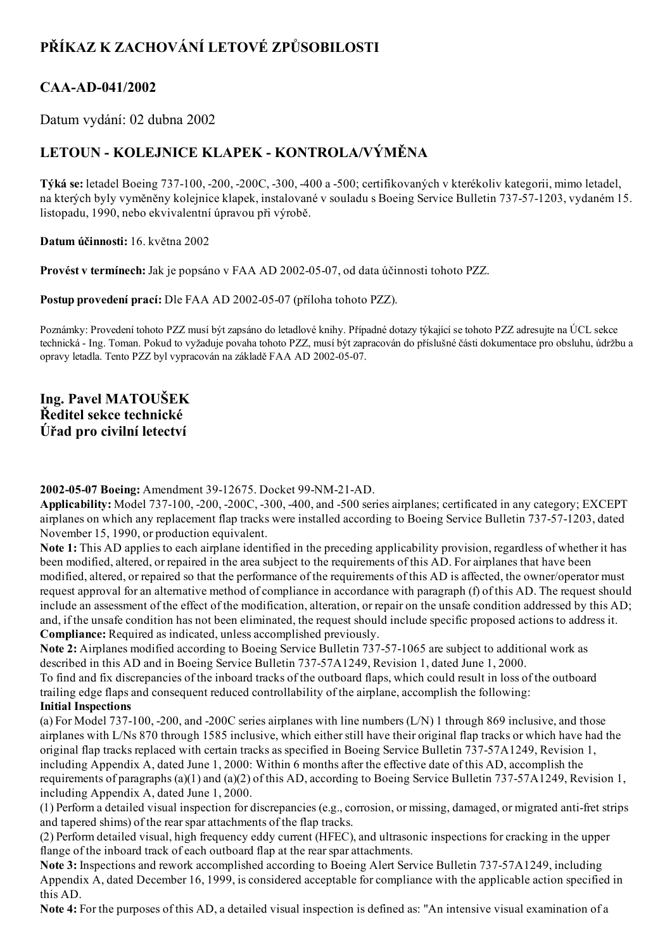# PŘÍKAZ K ZACHOVÁNÍ LETOVÉ ZPŮSOBILOSTI

## CAA-AD-041/2002

Datum vydání: 02 dubna 2002

# LETOUN - KOLEJNICE KLAPEK - KONTROLA/VÝMĚNA

Týká se: letadel Boeing 737100, 200, 200C, 300, 400 a 500; certifikovaných v kterékoliv kategorii, mimo letadel, na kterých byly vyměněny kolejnice klapek, instalované v souladu s Boeing Service Bulletin 737-57-1203, vydaném 15. listopadu, 1990, nebo ekvivalentní úpravou při výrobě.

Datum účinnosti: 16. května 2002

Provést v termínech: Jak je popsáno v FAA AD 2002-05-07, od data účinnosti tohoto PZZ.

Postup provedení prací: Dle FAA AD 2002-05-07 (příloha tohoto PZZ).

Poznámky: Provedení tohoto PZZ musí být zapsáno do letadlové knihy. Případné dotazy týkající se tohoto PZZ adresujte na ÚCL sekce technická Ing. Toman. Pokud to vyžaduje povaha tohoto PZZ, musí být zapracován do příslušné části dokumentace pro obsluhu, údržbu a opravy letadla. Tento PZZ byl vypracován na základě FAA AD 2002-05-07.

Ing. Pavel MATOUŠEK Ředitel sekce technické Úřad pro civilní letectví

### 2002-05-07 Boeing: Amendment 39-12675. Docket 99-NM-21-AD.

Applicability: Model 737-100, -200, -200C, -300, -400, and -500 series airplanes; certificated in any category; EXCEPT airplanes on which any replacement flap tracks were installed according to Boeing Service Bulletin 737571203, dated November 15, 1990, or production equivalent.

Note 1: This AD applies to each airplane identified in the preceding applicability provision, regardless of whether it has been modified, altered, or repaired in the area subject to the requirements of this AD. For airplanes that have been modified, altered, or repaired so that the performance of the requirements of this AD is affected, the owner/operator must request approval for an alternative method of compliance in accordance with paragraph (f) of this AD. The request should include an assessment of the effect of the modification, alteration, or repair on the unsafe condition addressed by this AD; and, if the unsafe condition has not been eliminated, the request should include specific proposed actions to address it. Compliance: Required as indicated, unless accomplished previously.

Note 2: Airplanes modified according to Boeing Service Bulletin 737-57-1065 are subject to additional work as described in this AD and in Boeing Service Bulletin 737-57A1249, Revision 1, dated June 1, 2000.

To find and fix discrepancies of the inboard tracks of the outboard flaps, which could result in loss of the outboard trailing edge flaps and consequent reduced controllability of the airplane, accomplish the following: Initial Inspections

(a) For Model 737-100, -200, and -200C series airplanes with line numbers  $(L/N)$  1 through 869 inclusive, and those airplanes with L/Ns 870 through 1585 inclusive, which eitherstill have their original flap tracks or which have had the original flap tracks replaced with certain tracks as specified in Boeing Service Bulletin 73757A1249, Revision 1, including Appendix A, dated June 1, 2000: Within 6 months after the effective date of this AD, accomplish the requirements of paragraphs (a)(1) and (a)(2) of this AD, according to Boeing Service Bulletin 73757A1249, Revision 1, including Appendix A, dated June 1, 2000.

 $(1)$  Perform a detailed visual inspection for discrepancies (e.g., corrosion, or missing, damaged, or migrated anti-fret strips and tapered shims) of the rear spar attachments of the flap tracks.

(2) Perform detailed visual, high frequency eddy current (HFEC), and ultrasonic inspections for cracking in the upper flange of the inboard track of each outboard flap at the rear spar attachments.

Note 3: Inspections and rework accomplished according to Boeing Alert Service Bulletin 737-57A1249, including Appendix A, dated December 16, 1999, is considered acceptable for compliance with the applicable action specified in this AD.

Note 4: For the purposes of this AD, a detailed visual inspection is defined as: "An intensive visual examination of a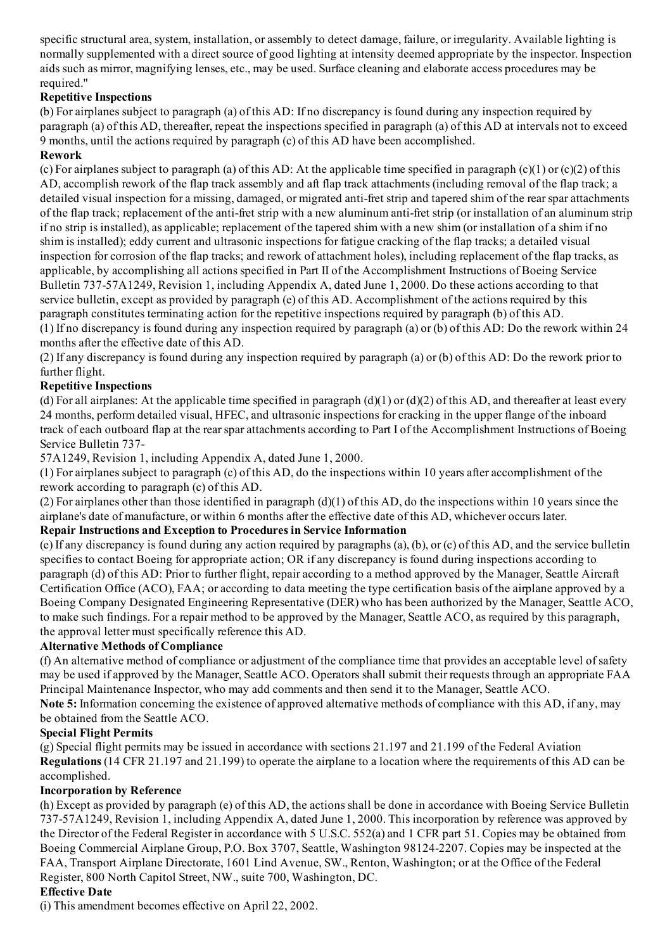specific structural area, system, installation, or assembly to detect damage, failure, or irregularity. Available lighting is normally supplemented with a direct source of good lighting at intensity deemed appropriate by the inspector. Inspection aids such as mirror, magnifying lenses, etc., may be used. Surface cleaning and elaborate access procedures may be required."

### Repetitive Inspections

(b) For airplanes subject to paragraph (a) of this AD: If no discrepancy is found during any inspection required by paragraph (a) of this AD, thereafter, repeat the inspections specified in paragraph (a) of this AD at intervals not to exceed 9 months, until the actions required by paragraph (c) of this AD have been accomplished.

### Rework

(c) For airplanes subject to paragraph (a) of this AD: At the applicable time specified in paragraph  $(c)(1)$  or  $(c)(2)$  of this AD, accomplish rework of the flap track assembly and aft flap track attachments (including removal of the flap track; a detailed visual inspection for a missing, damaged, or migrated anti-fret strip and tapered shim of the rear spar attachments of the flap track; replacement of the anti-fret strip with a new aluminum anti-fret strip (or installation of an aluminum strip if no strip is installed), as applicable; replacement of the tapered shim with a new shim (or installation of a shim if no shim is installed); eddy current and ultrasonic inspections for fatigue cracking of the flap tracks; a detailed visual inspection for corrosion of the flap tracks; and rework of attachment holes), including replacement of the flap tracks, as applicable, by accomplishing all actions specified in Part II of the Accomplishment Instructions of Boeing Service Bulletin 73757A1249, Revision 1, including Appendix A, dated June 1, 2000. Do these actions according to that service bulletin, except as provided by paragraph (e) of this AD. Accomplishment of the actions required by this paragraph constitutes terminating action for the repetitive inspections required by paragraph (b) of this AD. (1) If no discrepancy is found during any inspection required by paragraph (a) or (b) of this AD: Do the rework within 24 months after the effective date of this AD.

(2) If any discrepancy is found during any inspection required by paragraph (a) or (b) of this AD: Do the rework prior to further flight.

### Repetitive Inspections

(d) For all airplanes: At the applicable time specified in paragraph  $(d)(1)$  or  $(d)(2)$  of this AD, and thereafter at least every 24 months, perform detailed visual, HFEC, and ultrasonic inspections for cracking in the upper flange of the inboard track of each outboard flap at the rearspar attachments according to Part I of the Accomplishment Instructions of Boeing Service Bulletin 737

57A1249, Revision 1, including Appendix A, dated June 1, 2000.

(1) For airplanes subject to paragraph (c) of this AD, do the inspections within 10 years after accomplishment of the rework according to paragraph (c) of this AD.

(2) For airplanes other than those identified in paragraph (d)(1) of this AD, do the inspections within 10 years since the airplane's date of manufacture, or within 6 months after the effective date of this AD, whichever occurs later.

#### Repair Instructions and Exception to Procedures in Service Information

(e) If any discrepancy is found during any action required by paragraphs (a), (b), or (c) of this AD, and the service bulletin specifies to contact Boeing for appropriate action; OR if any discrepancy is found during inspections according to paragraph (d) of this AD: Prior to further flight, repair according to a method approved by the Manager, Seattle Aircraft Certification Office (ACO), FAA; or according to data meeting the type certification basis of the airplane approved by a Boeing Company Designated Engineering Representative (DER) who has been authorized by the Manager, Seattle ACO, to make such findings. For a repair method to be approved by the Manager, Seattle ACO, as required by this paragraph, the approval letter must specifically reference this AD.

#### Alternative Methods of Compliance

(f) An alternative method of compliance or adjustment of the compliance time that provides an acceptable level ofsafety may be used if approved by the Manager, Seattle ACO. Operators shall submit their requests through an appropriate FAA Principal Maintenance Inspector, who may add comments and then send it to the Manager, Seattle ACO.

Note 5: Information concerning the existence of approved alternative methods of compliance with this AD, if any, may be obtained from the Seattle ACO.

### Special Flight Permits

(g) Special flight permits may be issued in accordance with sections 21.197 and 21.199 of the Federal Aviation Regulations (14 CFR 21.197 and 21.199) to operate the airplane to a location where the requirements of this AD can be accomplished.

### Incorporation by Reference

(h) Except as provided by paragraph (e) of this AD, the actions shall be done in accordance with Boeing Service Bulletin 737-57A1249, Revision 1, including Appendix A, dated June 1, 2000. This incorporation by reference was approved by the Director of the Federal Register in accordance with 5 U.S.C. 552(a) and 1 CFR part 51. Copies may be obtained from Boeing Commercial Airplane Group, P.O. Box 3707, Seattle, Washington 98124-2207. Copies may be inspected at the FAA, Transport Airplane Directorate, 1601 Lind Avenue, SW., Renton, Washington; or at the Office of the Federal Register, 800 North Capitol Street, NW., suite 700, Washington, DC.

### Effective Date

(i) This amendment becomes effective on April 22, 2002.